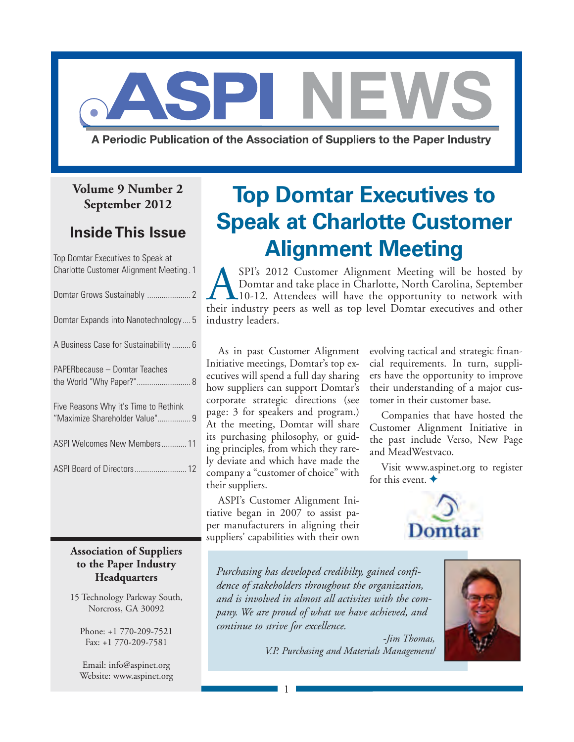

A Periodic Publication of the Association of Suppliers to the Paper Industry

### **Volume 9 Number 2 September 2012**

### **Inside This Issue**

Top Domtar Executives to Speak at Charlotte Customer Alignment Meeting . 1

| Domtar Expands into Nanotechnology 5                                    |
|-------------------------------------------------------------------------|
| A Business Case for Sustainability  6                                   |
| PAPERbecause – Domtar Teaches                                           |
| Five Reasons Why it's Time to Rethink<br>"Maximize Shareholder Value" 9 |
| ASPI Welcomes New Members 11                                            |
|                                                                         |

### **Association of Suppliers to the Paper Industry Headquarters**

15 Technology Parkway South, Norcross, GA 30092

> Phone: +1 770-209-7521 Fax: +1 770-209-7581

> Email: [info@aspinet.org](mailto:info@aspinet.org) Website: [www.aspinet.org](http://www.aspinet.org)

# **Top Domtar Executives to Speak at Charlotte Customer Alignment Meeting**

SPI's 2012 Customer Alignment Meeting will be hosted by<br>Domtar and take place in Charlotte, North Carolina, September<br>10-12. Attendees will have the opportunity to network with<br>their industry peers as well as top level Dom Domtar and take place in Charlotte, North Carolina, September 10-12. Attendees will have the opportunity to network with their industry peers as well as top level Domtar executives and other industry leaders.

As in past Customer Alignment Initiative meetings, Domtar's top executives will spend a full day sharing how suppliers can support Domtar's corporate strategic directions (see page: 3 for speakers and program.) At the meeting, Domtar will share its purchasing philosophy, or guiding principles, from which they rarely deviate and which have made the company a "customer of choice" with their suppliers.

ASPI's Customer Alignment Initiative began in 2007 to assist paper manufacturers in aligning their suppliers' capabilities with their own

1

evolving tactical and strategic financial requirements. In turn, suppliers have the opportunity to improve their understanding of a major customer in their customer base.

Companies that have hosted the Customer Alignment Initiative in the past include Verso, New Page and MeadWestvaco.

Visit [www.aspinet.org to](http://www.aspinet.org) register for this event.  $\blacklozenge$ 



*Purchasing has developed credibilty, gained confidence of stakeholders throughout the organization, and is involved in almost all activites with the company. We are proud of what we have achieved, and continue to strive for excellence.*

> *-Jim Thomas, V.P. Purchasing and Materials Management/*

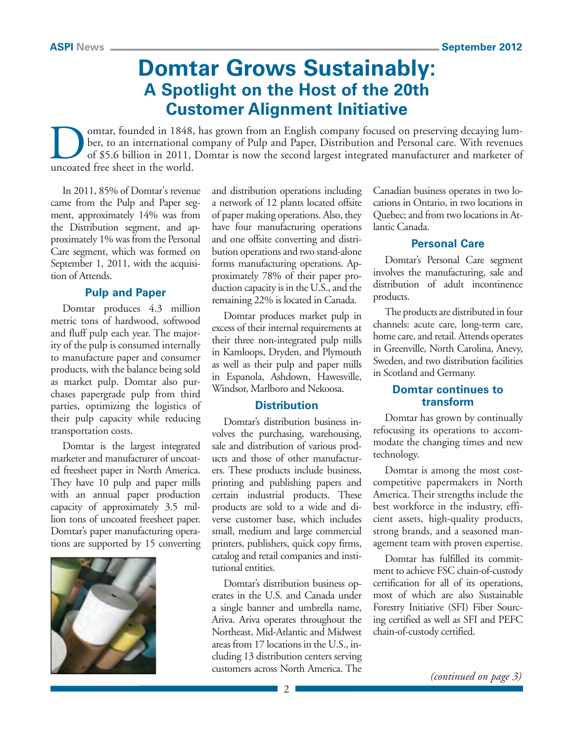### **Domtar Grows Sustainably: A Spotlight on the Host of the 20th Customer Alignment Initiative**

omtar, founded in 1848, has grown from an English company focused on preserving decaying lumber, to an international company of Pulp and Paper, Distribution and Personal care. With revenues of \$5.6 billion in 2011, Domtar is now the second largest integrated manufacturer and marketer of uncoated free sheet in the world.

In 2011, 85% of Domtar's revenue came from the Pulp and Paper segment, approximately 14% was from the Distribution segment, and approximately 1% was from the Personal Care segment, which was formed on September 1, 2011, with the acquisition of Attends.

### **Pulp and Paper**

Domtar produces 4.3 million metric tons of hardwood, softwood and fluff pulp each year. The majority of the pulp is consumed internally to manufacture paper and consumer products, with the balance being sold as market pulp. Domtar also purchases papergrade pulp from third parties, optimizing the logistics of their pulp capacity while reducing transportation costs.

Domtar is the largest integrated marketer and manufacturer of uncoated freesheet paper in North America. They have 10 pulp and paper mills with an annual paper production capacity of approximately 3.5 million tons of uncoated freesheet paper. Domtar's paper manufacturing operations are supported by 15 converting



and distribution operations including a network of 12 plants located offsite of paper making operations. Also, they have four manufacturing operations and one offsite converting and distribution operations and two stand-alone forms manufacturing operations. Approximately 78% of their paper production capacity is in the U.S., and the remaining 22% is located in Canada.

Domtar produces market pulp in excess of their internal requirements at their three non-integrated pulp mills in Kamloops, Dryden, and Plymouth as well as their pulp and paper mills in Espanola, Ashdown, Hawesville, Windsor, Marlboro and Nekoosa.

### **Distribution**

Domtar's distribution business involves the purchasing, warehousing, sale and distribution of various products and those of other manufacturers. These products include business, printing and publishing papers and certain industrial products. These products are sold to a wide and diverse customer base, which includes small, medium and large commercial printers, publishers, quick copy firms, catalog and retail companies and institutional entities.

Domtar's distribution business operates in the U.S. and Canada under a single banner and umbrella name, Ariva. Ariva operates throughout the Northeast, Mid-Atlantic and Midwest areas from 17 locations in the U.S., including 13 distribution centers serving customers across North America. The Canadian business operates in two locations in Ontario, in two locations in Quebec; and from two locations in Atlantic Canada.

### **Personal Care**

Domtar's Personal Care segment involves the manufacturing, sale and distribution of adult incontinence products.

The products are distributed in four channels: acute care, long-term care, home care, and retail. Attends operates in Greenville, North Carolina, Anevy, Sweden, and two distribution facilities in Scotland and Germany.

### **Domtar continues to transform**

Domtar has grown by continually refocusing its operations to accommodate the changing times and new technology.

Domtar is among the most costcompetitive papermakers in North America. Their strengths include the best workforce in the industry, efficient assets, high-quality products, strong brands, and a seasoned management team with proven expertise.

Domtar has fulfilled its commitment to achieve FSC chain-of-custody certification for all of its operations, most of which are also Sustainable Forestry Initiative (SFI) Fiber Sourcing certified as well as SFI and PEFC chain-of-custody certified.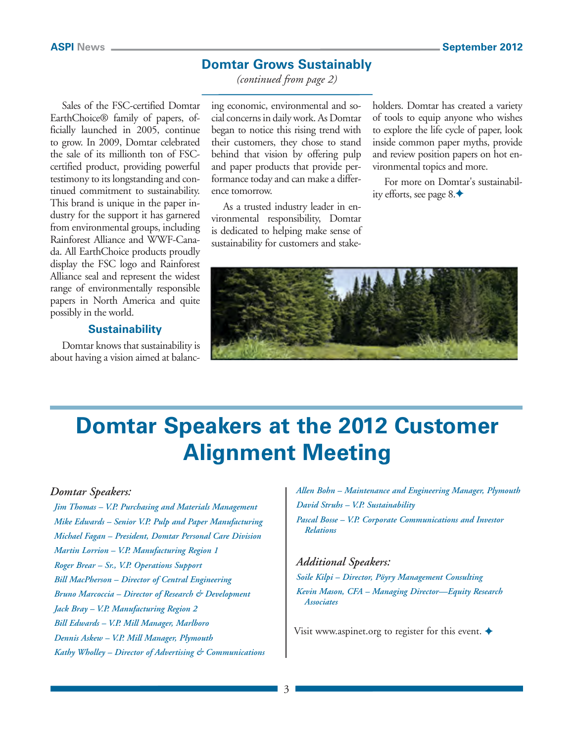### **Domtar Grows Sustainably**

*(continued from page 2)*

Sales of the FSC-certified Domtar EarthChoice® family of papers, officially launched in 2005, continue to grow. In 2009, Domtar celebrated the sale of its millionth ton of FSCcertified product, providing powerful testimony to its longstanding and continued commitment to sustainability. This brand is unique in the paper industry for the support it has garnered from environmental groups, including Rainforest Alliance and WWF-Canada. All EarthChoice products proudly display the FSC logo and Rainforest Alliance seal and represent the widest range of environmentally responsible papers in North America and quite possibly in the world.

### **Sustainability**

Domtar knows that sustainability is about having a vision aimed at balancing economic, environmental and social concerns in daily work. As Domtar began to notice this rising trend with their customers, they chose to stand behind that vision by offering pulp and paper products that provide performance today and can make a difference tomorrow.

As a trusted industry leader in environmental responsibility, Domtar is dedicated to helping make sense of sustainability for customers and stakeholders. Domtar has created a variety of tools to equip anyone who wishes to explore the life cycle of paper, look inside common paper myths, provide and review position papers on hot environmental topics and more.

For more on Domtar's sustainability efforts, see page  $8.$ 



## **Domtar Speakers at the 2012 Customer Alignment Meeting**

#### *Domtar Speakers:*

*Jim Thomas – V.P. Purchasing and Materials Management Mike Edwards – Senior V.P. Pulp and Paper Manufacturing Michael Fagan – President, Domtar Personal Care Division Martin Lorrion – V.P. Manufacturing Region 1 Roger Brear – Sr., V.P. Operations Support Bill MacPherson – Director of Central Engineering Bruno Marcoccia – Director of Research & Development Jack Bray – V.P. Manufacturing Region 2 Bill Edwards – V.P. Mill Manager, Marlboro Dennis Askew – V.P. Mill Manager, Plymouth Kathy Wholley – Director of Advertising & Communications* *Allen Bohn – Maintenance and Engineering Manager, Plymouth David Struhs – V.P. Sustainability Pascal Bosse – V.P. Corporate Communications and Investor Relations*

### *Additional Speakers: Soile Kilpi – Director, Pöyry Management Consulting Kevin Mason, CFA – Managing Director—Equity Research Associates*

Visit [www.aspinet.org to](http://www.aspinet.org) register for this event.  $\blacklozenge$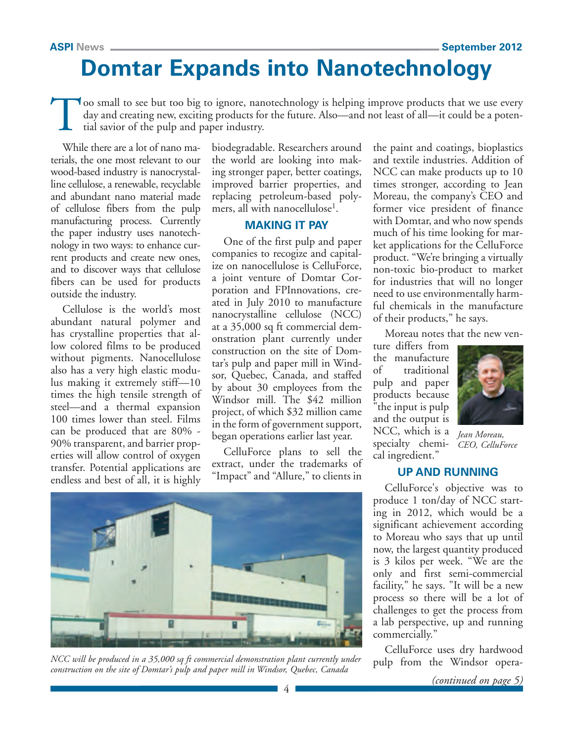## **Domtar Expands into Nanotechnology**

Too small to see but too big to ignore, nanotechnology is helping improve products that we use every day and creating new, exciting products for the future. Also—and not least of all—it could be a potential savior of the p day and creating new, exciting products for the future. Also—and not least of all—it could be a potential savior of the pulp and paper industry.

While there are a lot of nano materials, the one most relevant to our wood-based industry is nanocrystalline cellulose, a renewable, recyclable and abundant nano material made of cellulose fibers from the pulp manufacturing process. Currently the paper industry uses nanotechnology in two ways: to enhance current products and create new ones, and to discover ways that cellulose fibers can be used for products outside the industry.

Cellulose is the world's most abundant natural polymer and has crystalline properties that allow colored films to be produced without pigments. Nanocellulose also has a very high elastic modulus making it extremely stiff—10 times the high tensile strength of steel—and a thermal expansion 100 times lower than steel. Films can be produced that are 80% - 90% transparent, and barrier properties will allow control of oxygen transfer. Potential applications are endless and best of all, it is highly

biodegradable. Researchers around the world are looking into making stronger paper, better coatings, improved barrier properties, and replacing petroleum-based polymers, all with nanocellulose<sup>1</sup>.

### **MAKING IT PAY**

One of the first pulp and paper companies to recogize and capitalize on nanocellulose is CelluForce, a joint venture of Domtar Corporation and FPInnovations, created in July 2010 to manufacture nanocrystalline cellulose (NCC) at a 35,000 sq ft commercial demonstration plant currently under construction on the site of Domtar's pulp and paper mill in Windsor, Quebec, Canada, and staffed by about 30 employees from the Windsor mill. The \$42 million project, of which \$32 million came in the form of government support, began operations earlier last year.

CelluForce plans to sell the extract, under the trademarks of "Impact" and "Allure," to clients in

4



NCC will be produced in a 35,000 sq ft commercial demonstration plant currently under pulp from the Windsor opera*construction on the site of Domtar's pulp and paper mill in Windsor, Quebec, Canada*

the paint and coatings, bioplastics and textile industries. Addition of NCC can make products up to 10 times stronger, according to Jean Moreau, the company's CEO and former vice president of finance with Domtar, and who now spends much of his time looking for market applications for the CelluForce product. "We're bringing a virtually non-toxic bio-product to market for industries that will no longer need to use environmentally harmful chemicals in the manufacture of their products," he says.

Moreau notes that the new ven-

ture differs from the manufacture of traditional pulp and paper products because "the input is pulp and the output is NCC, which is a specialty chemical ingredient."



*Jean Moreau, CEO, CelluForce*

### **UP AND RUNNING**

CelluForce's objective was to produce 1 ton/day of NCC starting in 2012, which would be a significant achievement according to Moreau who says that up until now, the largest quantity produced is 3 kilos per week. "We are the only and first semi-commercial facility," he says. "It will be a new process so there will be a lot of challenges to get the process from a lab perspective, up and running commercially."

CelluForce uses dry hardwood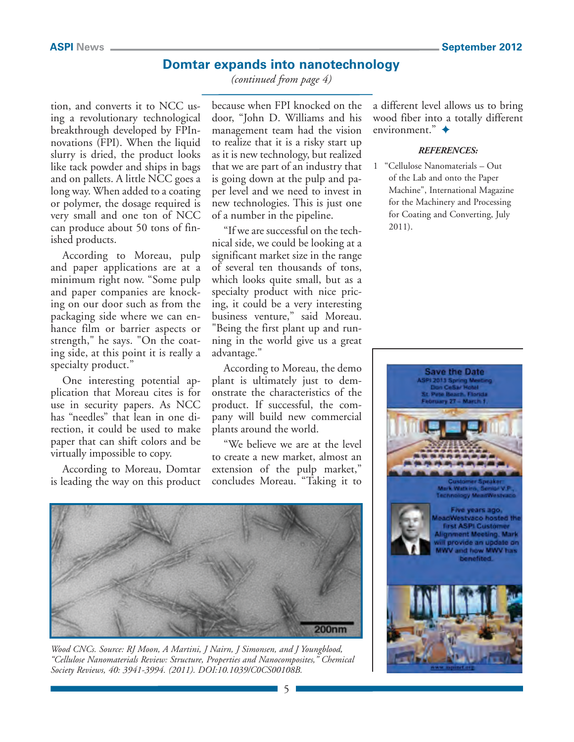### **Domtar expands into nanotechnology**

*(continued from page 4)*

tion, and converts it to NCC using a revolutionary technological breakthrough developed by FPInnovations (FPI). When the liquid slurry is dried, the product looks like tack powder and ships in bags and on pallets. A little NCC goes a long way. When added to a coating or polymer, the dosage required is very small and one ton of NCC can produce about 50 tons of finished products.

According to Moreau, pulp and paper applications are at a minimum right now. "Some pulp and paper companies are knocking on our door such as from the packaging side where we can enhance film or barrier aspects or strength," he says. "On the coating side, at this point it is really a specialty product."

One interesting potential application that Moreau cites is for use in security papers. As NCC has "needles" that lean in one direction, it could be used to make paper that can shift colors and be virtually impossible to copy.

According to Moreau, Domtar is leading the way on this product

because when FPI knocked on the door, "John D. Williams and his management team had the vision to realize that it is a risky start up as it is new technology, but realized that we are part of an industry that is going down at the pulp and paper level and we need to invest in new technologies. This is just one of a number in the pipeline.

"If we are successful on the technical side, we could be looking at a significant market size in the range of several ten thousands of tons, which looks quite small, but as a specialty product with nice pricing, it could be a very interesting business venture," said Moreau. "Being the first plant up and running in the world give us a great advantage."

According to Moreau, the demo plant is ultimately just to demonstrate the characteristics of the product. If successful, the company will build new commercial plants around the world.

"We believe we are at the level to create a new market, almost an extension of the pulp market," concludes Moreau. "Taking it to



*Wood CNCs. Source: RJ Moon, A Martini, J Nairn, J Simonsen, and J Youngblood, "Cellulose Nanomaterials Review: Structure, Properties and Nanocomposites," Chemical Society Reviews, 40: 3941-3994. (2011). DOI:10.1039/C0CS00108B.*

a different level allows us to bring wood fiber into a totally different environment."  $\triangleq$ 

#### *REFERENCES:*

1 "Cellulose Nanomaterials – Out of the Lab and onto the Paper Machine", International Magazine for the Machinery and Processing for Coating and Converting, July 2011).

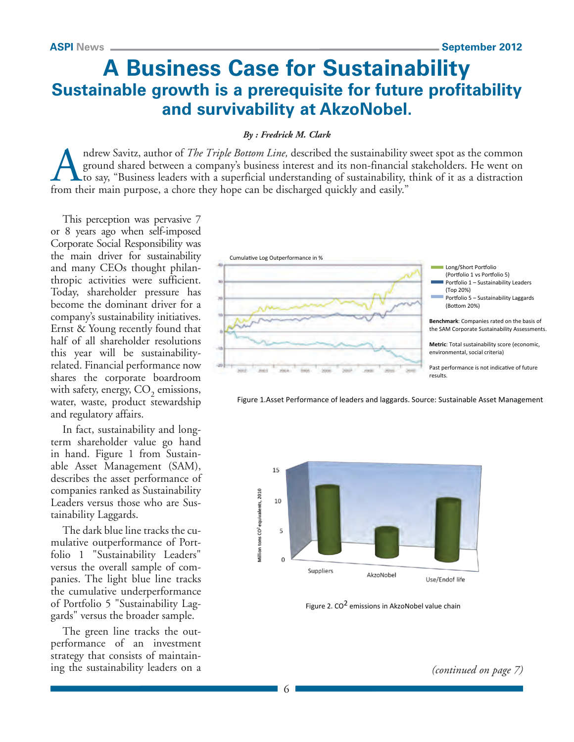### **A Business Case for Sustainability Sustainable growth is a prerequisite for future profitability and survivability at AkzoNobel.**

#### *By : Fredrick M. Clark*

ndrew Savitz, author of *The Triple Bottom Line*, described the sustainability sweet spot as the common ground shared between a company's business interest and its non-financial stakeholders. He went on to say, "Business leaders with a superficial understanding of sustainability, think of it as a distraction from their main purpose, a chore they hope can be discharged quickly and easily."

This perception was pervasive 7 or 8 years ago when self-imposed Corporate Social Responsibility was the main driver for sustainability and many CEOs thought philanthropic activities were sufficient. Today, shareholder pressure has become the dominant driver for a company's sustainability initiatives. Ernst & Young recently found that half of all shareholder resolutions this year will be sustainabilityrelated. Financial performance now shares the corporate boardroom with safety, energy,  $CO<sub>2</sub>$  emissions, water, waste, product stewardship and regulatory affairs.

In fact, sustainability and longterm shareholder value go hand in hand. Figure 1 from Sustainable Asset Management (SAM), describes the asset performance of companies ranked as Sustainability Leaders versus those who are Sustainability Laggards.

The dark blue line tracks the cumulative outperformance of Portfolio 1 "Sustainability Leaders" versus the overall sample of companies. The light blue line tracks the cumulative underperformance of Portfolio 5 "Sustainability Laggards" versus the broader sample.

The green line tracks the outperformance of an investment strategy that consists of maintaining the sustainability leaders on a







Figure 2. CO2 emissions in AkzoNobel value chain

*(continued on page 7)*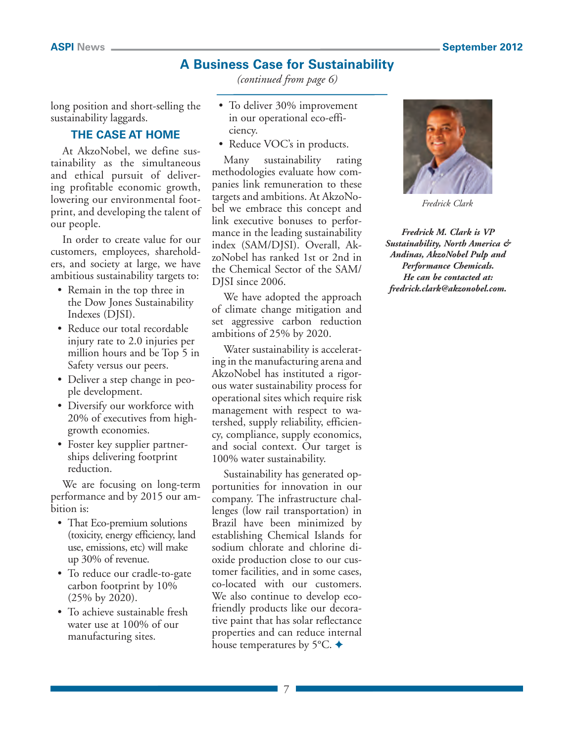### **A Business Case for Sustainability**

*(continued from page 6)*

long position and short-selling the sustainability laggards.

### **THE CASE AT HOME**

At AkzoNobel, we define sustainability as the simultaneous and ethical pursuit of delivering profitable economic growth, lowering our environmental footprint, and developing the talent of our people.

In order to create value for our customers, employees, shareholders, and society at large, we have ambitious sustainability targets to:

- Remain in the top three in the Dow Jones Sustainability Indexes (DJSI).
- Reduce our total recordable injury rate to 2.0 injuries per million hours and be Top 5 in Safety versus our peers.
- Deliver a step change in people development.
- Diversify our workforce with 20% of executives from highgrowth economies.
- Foster key supplier partnerships delivering footprint reduction.

We are focusing on long-term performance and by 2015 our ambition is:

- That Eco-premium solutions (toxicity, energy efficiency, land use, emissions, etc) will make up 30% of revenue.
- To reduce our cradle-to-gate carbon footprint by 10% (25% by 2020).
- To achieve sustainable fresh water use at 100% of our manufacturing sites.
- To deliver 30% improvement in our operational eco-efficiency.
- Reduce VOC's in products.

Many sustainability rating methodologies evaluate how companies link remuneration to these targets and ambitions. At AkzoNobel we embrace this concept and link executive bonuses to performance in the leading sustainability index (SAM/DJSI). Overall, AkzoNobel has ranked 1st or 2nd in the Chemical Sector of the SAM/ DJSI since 2006.

We have adopted the approach of climate change mitigation and set aggressive carbon reduction ambitions of 25% by 2020.

Water sustainability is accelerating in the manufacturing arena and AkzoNobel has instituted a rigorous water sustainability process for operational sites which require risk management with respect to watershed, supply reliability, efficiency, compliance, supply economics, and social context. Our target is 100% water sustainability.

Sustainability has generated opportunities for innovation in our company. The infrastructure challenges (low rail transportation) in Brazil have been minimized by establishing Chemical Islands for sodium chlorate and chlorine dioxide production close to our customer facilities, and in some cases, co-located with our customers. We also continue to develop ecofriendly products like our decorative paint that has solar reflectance properties and can reduce internal house temperatures by 5 $\degree$ C.  $\blacklozenge$ 



*Fredrick Clark*

*Fredrick M. Clark is VP Sustainability, North America & Andinas, AkzoNobel Pulp and Performance Chemicals. He can be contacted at: [fredrick.clark@akzonobel.com.](mailto:fredrick.clark@akzonobel.com)*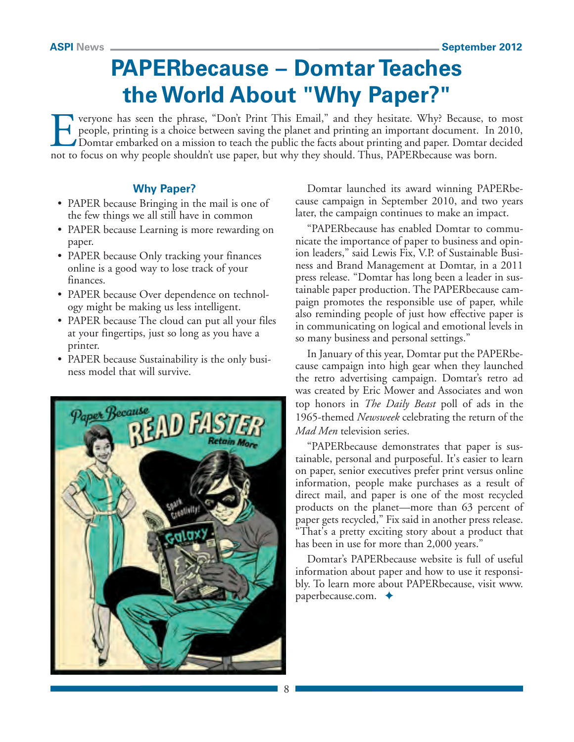## **PAPERbecause – Domtar Teaches the World About "Why Paper?"**

Everyone has seen the phrase, "Don't Print This Email," and they hesitate. Why? Because, to most people, printing is a choice between saving the planet and printing an important document. In 2010, Domtar embarked on a mission to teach the public the facts about printing and paper. Domtar decided not to focus on why people shouldn't use paper, but why they should. Thus, PAPERbecause was born.

### **Why Paper?**

- PAPER because Bringing in the mail is one of the few things we all still have in common
- PAPER because Learning is more rewarding on paper.
- PAPER because Only tracking your finances online is a good way to lose track of your finances.
- PAPER because Over dependence on technology might be making us less intelligent.
- PAPER because The cloud can put all your files at your fingertips, just so long as you have a printer.
- PAPER because Sustainability is the only business model that will survive.



Domtar launched its award winning PAPERbecause campaign in September 2010, and two years later, the campaign continues to make an impact.

"PAPERbecause has enabled Domtar to communicate the importance of paper to business and opinion leaders," said Lewis Fix, V.P. of Sustainable Business and Brand Management at Domtar, in a 2011 press release. "Domtar has long been a leader in sustainable paper production. The PAPERbecause campaign promotes the responsible use of paper, while also reminding people of just how effective paper is in communicating on logical and emotional levels in so many business and personal settings."

In January of this year, Domtar put the PAPERbecause campaign into high gear when they launched the retro advertising campaign. Domtar's retro ad was created by Eric Mower and Associates and won top honors in *The Daily Beast* poll of ads in the 1965-themed *Newsweek* celebrating the return of the *Mad Men* television series.

"PAPERbecause demonstrates that paper is sustainable, personal and purposeful. It's easier to learn on paper, senior executives prefer print versus online information, people make purchases as a result of direct mail, and paper is one of the most recycled products on the planet—more than 63 percent of paper gets recycled," Fix said in another press release. "That's a pretty exciting story about a product that has been in use for more than 2,000 years."

Domtar's PAPERbecause website is full of useful information about paper and how to use it responsibly. To learn more about PAPERbecause, visit [www.](http://www.paperbecause.com) [paperbecause.com.](http://www.paperbecause.com)  $\triangleleft$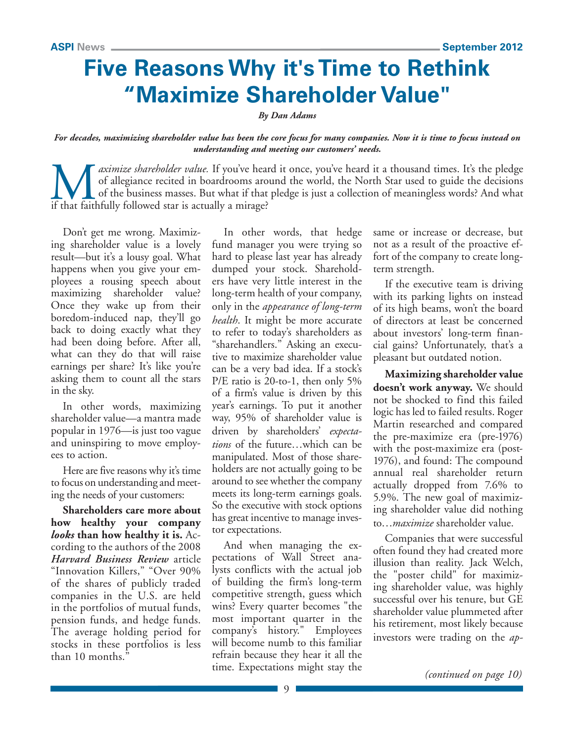## **Five Reasons Why it's Time to Rethink "Maximize Shareholder Value"**

*By Dan Adams*

*For decades, maximizing shareholder value has been the core focus for many companies. Now it is time to focus instead on understanding and meeting our customers' needs.* 

*aximize shareholder value.* If you've heard it once, you've heard it a thousand times. It's the pledge of allegiance recited in boardrooms around the world, the North Star used to guide the decisions of the business masse of allegiance recited in boardrooms around the world, the North Star used to guide the decisions of the business masses. But what if that pledge is just a collection of meaningless words? And what if that faithfully followed star is actually a mirage?

Don't get me wrong. Maximizing shareholder value is a lovely result—but it's a lousy goal. What happens when you give your employees a rousing speech about maximizing shareholder value? Once they wake up from their boredom-induced nap, they'll go back to doing exactly what they had been doing before. After all, what can they do that will raise earnings per share? It's like you're asking them to count all the stars in the sky.

In other words, maximizing shareholder value—a mantra made popular in 1976—is just too vague and uninspiring to move employees to action.

Here are five reasons why it's time to focus on understanding and meeting the needs of your customers:

**Shareholders care more about how healthy your company**  *looks* **than how healthy it is.** According to the authors of the 2008 *Harvard Business Review* article "Innovation Killers," "Over 90% of the shares of publicly traded companies in the U.S. are held in the portfolios of mutual funds, pension funds, and hedge funds. The average holding period for stocks in these portfolios is less than 10 months."

In other words, that hedge fund manager you were trying so hard to please last year has already dumped your stock. Shareholders have very little interest in the long-term health of your company, only in the *appearance of long-term health*. It might be more accurate to refer to today's shareholders as "sharehandlers." Asking an executive to maximize shareholder value can be a very bad idea. If a stock's P/E ratio is 20-to-1, then only 5% of a firm's value is driven by this year's earnings. To put it another way, 95% of shareholder value is driven by shareholders' *expectations* of the future…which can be manipulated. Most of those shareholders are not actually going to be around to see whether the company meets its long-term earnings goals. So the executive with stock options has great incentive to manage investor expectations.

And when managing the expectations of Wall Street analysts conflicts with the actual job of building the firm's long-term competitive strength, guess which wins? Every quarter becomes "the most important quarter in the company's history." Employees will become numb to this familiar refrain because they hear it all the time. Expectations might stay the same or increase or decrease, but not as a result of the proactive effort of the company to create longterm strength.

If the executive team is driving with its parking lights on instead of its high beams, won't the board of directors at least be concerned about investors' long-term financial gains? Unfortunately, that's a pleasant but outdated notion.

**Maximizing shareholder value doesn't work anyway.** We should not be shocked to find this failed logic has led to failed results. Roger Martin researched and compared the pre-maximize era (pre-1976) with the post-maximize era (post-1976), and found: The compound annual real shareholder return actually dropped from 7.6% to 5.9%. The new goal of maximizing shareholder value did nothing to…*maximize* shareholder value.

Companies that were successful often found they had created more illusion than reality. Jack Welch, the "poster child" for maximizing shareholder value, was highly successful over his tenure, but GE shareholder value plummeted after his retirement, most likely because investors were trading on the *ap-*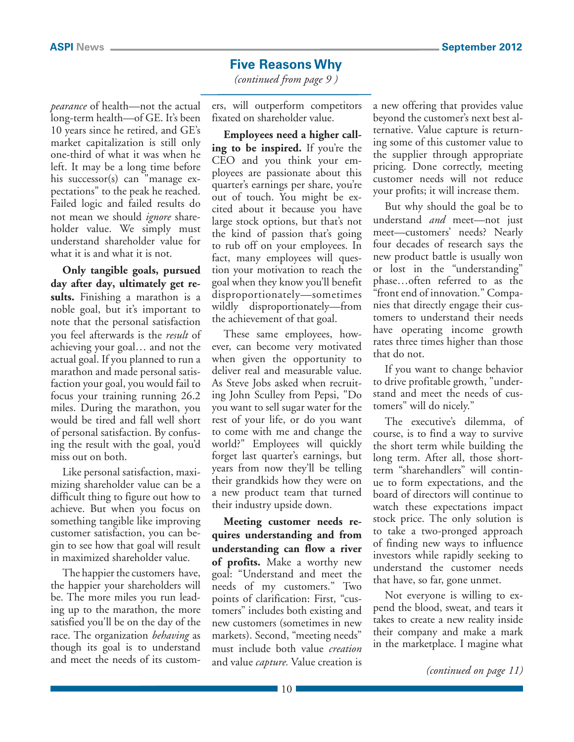### **Five Reasons Why**

*(continued from page 9 )*

*pearance* of health—not the actual long-term health—of GE. It's been 10 years since he retired, and GE's market capitalization is still only one-third of what it was when he left. It may be a long time before his successor(s) can "manage expectations" to the peak he reached. Failed logic and failed results do not mean we should *ignore* shareholder value. We simply must understand shareholder value for what it is and what it is not.

**Only tangible goals, pursued day after day, ultimately get results.** Finishing a marathon is a noble goal, but it's important to note that the personal satisfaction you feel afterwards is the *result* of achieving your goal… and not the actual goal. If you planned to run a marathon and made personal satisfaction your goal, you would fail to focus your training running 26.2 miles. During the marathon, you would be tired and fall well short of personal satisfaction. By confusing the result with the goal, you'd miss out on both.

Like personal satisfaction, maximizing shareholder value can be a difficult thing to figure out how to achieve. But when you focus on something tangible like improving customer satisfaction, you can begin to see how that goal will result in maximized shareholder value.

The happier the customers have, the happier your shareholders will be. The more miles you run leading up to the marathon, the more satisfied you'll be on the day of the race. The organization *behaving* as though its goal is to understand and meet the needs of its custom-

ers, will outperform competitors fixated on shareholder value.

**Employees need a higher calling to be inspired.** If you're the CEO and you think your employees are passionate about this quarter's earnings per share, you're out of touch. You might be excited about it because you have large stock options, but that's not the kind of passion that's going to rub off on your employees. In fact, many employees will question your motivation to reach the goal when they know you'll benefit disproportionately—sometimes wildly disproportionately—from the achievement of that goal.

These same employees, however, can become very motivated when given the opportunity to deliver real and measurable value. As Steve Jobs asked when recruiting John Sculley from Pepsi, "Do you want to sell sugar water for the rest of your life, or do you want to come with me and change the world?" Employees will quickly forget last quarter's earnings, but years from now they'll be telling their grandkids how they were on a new product team that turned their industry upside down.

**Meeting customer needs requires understanding and from understanding can flow a river of profits.** Make a worthy new goal: "Understand and meet the needs of my customers." Two points of clarification: First, "customers" includes both existing and new customers (sometimes in new markets). Second, "meeting needs" must include both value *creation* and value *capture.* Value creation is a new offering that provides value beyond the customer's next best alternative. Value capture is returning some of this customer value to the supplier through appropriate pricing. Done correctly, meeting customer needs will not reduce your profits; it will increase them.

But why should the goal be to understand *and* meet—not just meet—customers' needs? Nearly four decades of research says the new product battle is usually won or lost in the "understanding" phase…often referred to as the "front end of innovation." Companies that directly engage their customers to understand their needs have operating income growth rates three times higher than those that do not.

If you want to change behavior to drive profitable growth, "understand and meet the needs of customers" will do nicely."

The executive's dilemma, of course, is to find a way to survive the short term while building the long term. After all, those shortterm "sharehandlers" will continue to form expectations, and the board of directors will continue to watch these expectations impact stock price. The only solution is to take a two-pronged approach of finding new ways to influence investors while rapidly seeking to understand the customer needs that have, so far, gone unmet.

Not everyone is willing to expend the blood, sweat, and tears it takes to create a new reality inside their company and make a mark in the marketplace. I magine what

*(continued on page 11)*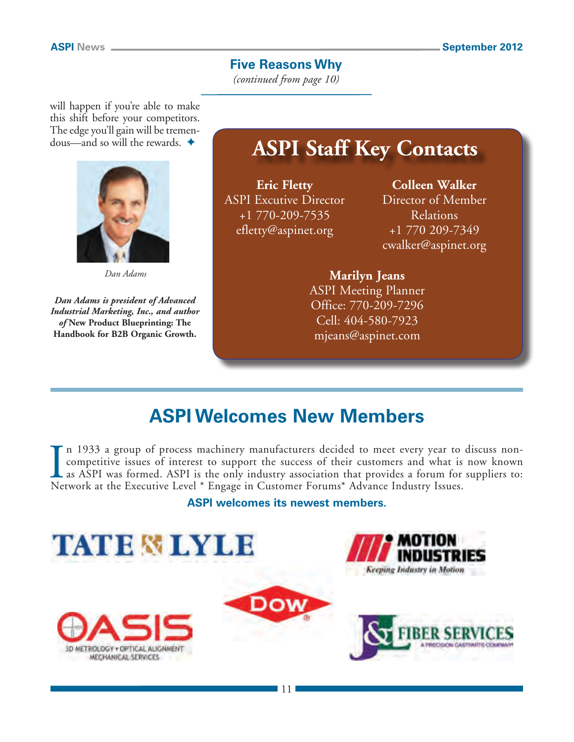### **Five Reasons Why**

*(continued from page 10)*

will happen if you're able to make this shift before your competitors. The edge you'll gain will be tremendous—and so will the rewards.  $\triangleleft$ 



*Dan Adams*

*Dan Adams is president of Advanced Industrial Marketing, Inc., and author of* **New Product Blueprinting: The Handbook for B2B Organic Growth.**

**ASPI Staff Key Contacts**

**Eric Fletty** ASPI Excutive Director +1 770-209-7535 [efletty@aspinet.org](mailto:efletty@aspinet.org)

**Colleen Walker** Director of Member Relations +1 770 209-7349 [cwalker@aspinet.org](mailto:cwalker@aspinet.org)

### **Marilyn Jeans** ASPI Meeting Planner

Office: 770-209-7296 Cell: 404-580-7923 [mjeans@aspinet.com](mailto:mjeans@aspinet.com)

## **ASPI Welcomes New Members**

In 1933 a group of process machinery manufacturers decided to meet every year to competitive issues of interest to support the success of their customers and what is as ASPI was formed. ASPI is the only industry associatio n 1933 a group of process machinery manufacturers decided to meet every year to discuss noncompetitive issues of interest to support the success of their customers and what is now known as ASPI was formed. ASPI is the only industry association that provides a forum for suppliers to:

### **ASPI welcomes its newest members.**